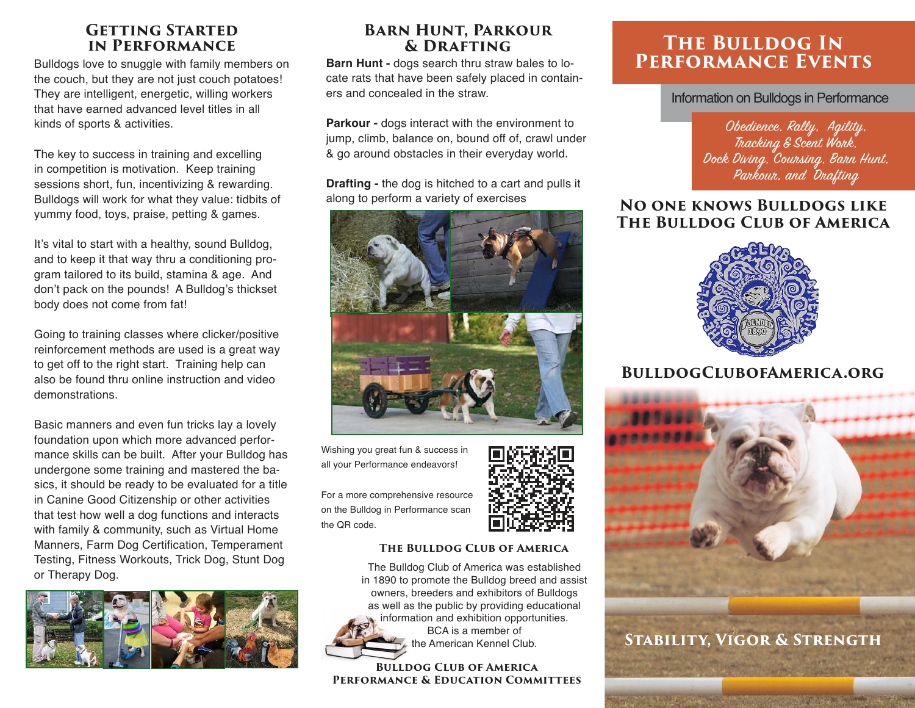#### **GETTING STARTED in Performance**

Bulldogs love to snuggle with family members on the couch, but they are not just couch potatoes! They are intelligent, energetic, willing workers that have earned advanced level titles in all kinds of sports & activities.

The key to success in training and excelling in competition is motivation. Keep training sessions short, fun, incentivizing & rewarding. Bulldogs will work for what they value: tidbits of yummy food, toys, praise, petting & games.

It's vital to start with a healthy, sound Bulldog, and to keep it that way thru a conditioning program tailored to its build, stamina & age. And don't pack on the pounds! A Bulldog's thickset body does not come from fat!

Going to training classes where clicker/positive reinforcement methods are used is a great way to get off to the right start. Training help can also be found thru online instruction and video demonstrations.

Basic manners and even fun tricks lay a lovely foundation upon which more advanced performance skills can be built. After your Bulldog has undergone some training and mastered the basics, it should be ready to be evaluated for a title in Canine Good Citizenship or other activities that test how well a dog functions and interacts with family & community, such as Virtual Home Manners, Farm Dog Certification, Temperament Testing, Fitness Workouts, Trick Dog, Stunt Dog or Therapy Dog.



#### **Barn Hunt, Parkour & Drafting**

**Barn Hunt -** dogs search thru straw bales to locate rats that have been safely placed in containers and concealed in the straw.

**Parkour -** dogs interact with the environment to jump, climb, balance on, bound off of, crawl under & go around obstacles in their everyday world.

**Drafting -** the dog is hitched to a cart and pulls it along to perform a variety of exercises



Wishing you great fun & success in all your Performance endeavors!



For a more comprehensive resource on the Bulldog in Performance scan the QR code.

#### **The Bulldog Club of America**

The Bulldog Club of America was established in 1890 to promote the Bulldog breed and assist owners, breeders and exhibitors of Bulldogs as well as the public by providing educational information and exhibition opportunities. BCA is a member of the American Kennel Club.

#### **Bulldog Club of America Performance & Education Committees**

## **The Bulldog In Performance Events**

#### Information on Bulldogs in Performance

Obedience, Rally, Agility, Tracking & Scent Work, Dock Diving, Coursing, Barn Hunt, Parkour, and Drafting

#### **No one knows Bulldogs like The Bulldog Club of America**



### **BulldogClubofAmerica.org**